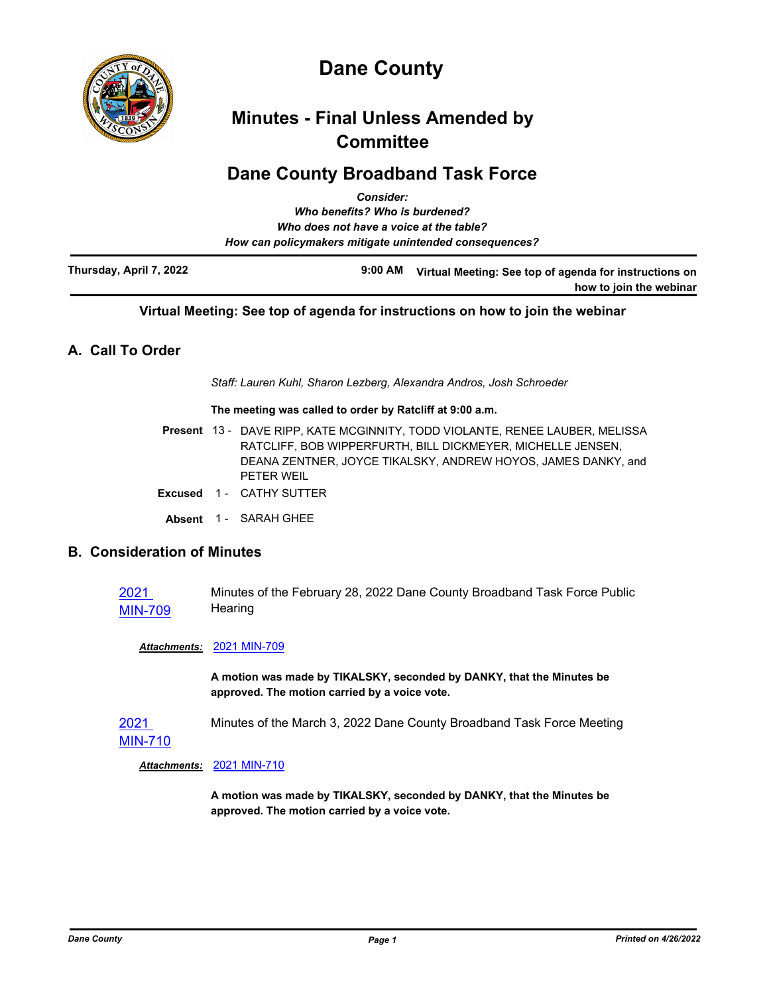

# **Dane County**

# **Minutes - Final Unless Amended by Committee**

# **Dane County Broadband Task Force**

|                         | <b>Consider:</b>                                       |                                                                                   |
|-------------------------|--------------------------------------------------------|-----------------------------------------------------------------------------------|
|                         | Who benefits? Who is burdened?                         |                                                                                   |
|                         | Who does not have a voice at the table?                |                                                                                   |
|                         | How can policymakers mitigate unintended consequences? |                                                                                   |
| Thursday, April 7, 2022 | $9:00 \, \text{AM}$                                    | Virtual Meeting: See top of agenda for instructions on<br>how to join the webinar |

## **Virtual Meeting: See top of agenda for instructions on how to join the webinar**

# **A. Call To Order**

*Staff: Lauren Kuhl, Sharon Lezberg, Alexandra Andros, Josh Schroeder*

#### **The meeting was called to order by Ratcliff at 9:00 a.m.**

|  | Present 13 - DAVE RIPP, KATE MCGINNITY, TODD VIOLANTE, RENEE LAUBER, MELISSA |
|--|------------------------------------------------------------------------------|
|  | RATCLIFF. BOB WIPPERFURTH, BILL DICKMEYER, MICHELLE JENSEN,                  |
|  | DEANA ZENTNER, JOYCE TIKALSKY, ANDREW HOYOS, JAMES DANKY, and                |
|  | PFTFR WFIL                                                                   |

- **Excused** 1 CATHY SUTTER
	- Absent 1 SARAH GHEE

## **B. Consideration of Minutes**

2021 MIN-709 Minutes of the February 28, 2022 Dane County Broadband Task Force Public **Hearing** 

#### *Attachments:* 2021 MIN-709

**A motion was made by TIKALSKY, seconded by DANKY, that the Minutes be approved. The motion carried by a voice vote.**

2021 MIN-710 Minutes of the March 3, 2022 Dane County Broadband Task Force Meeting

*Attachments:* 2021 MIN-710

**A motion was made by TIKALSKY, seconded by DANKY, that the Minutes be approved. The motion carried by a voice vote.**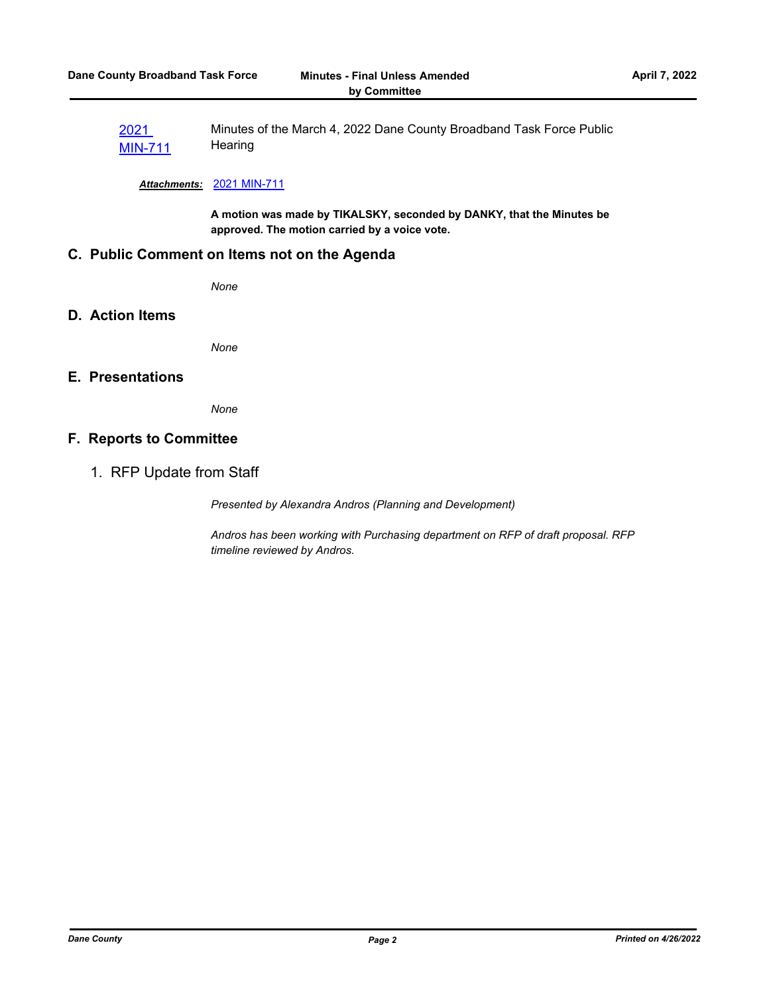2021 MIN-711 Minutes of the March 4, 2022 Dane County Broadband Task Force Public **Hearing** 

#### *Attachments:* 2021 MIN-711

**A motion was made by TIKALSKY, seconded by DANKY, that the Minutes be approved. The motion carried by a voice vote.**

### **C. Public Comment on Items not on the Agenda**

*None*

#### **D. Action Items**

*None*

## **E. Presentations**

*None*

#### **F. Reports to Committee**

1. RFP Update from Staff

*Presented by Alexandra Andros (Planning and Development)*

*Andros has been working with Purchasing department on RFP of draft proposal. RFP timeline reviewed by Andros.*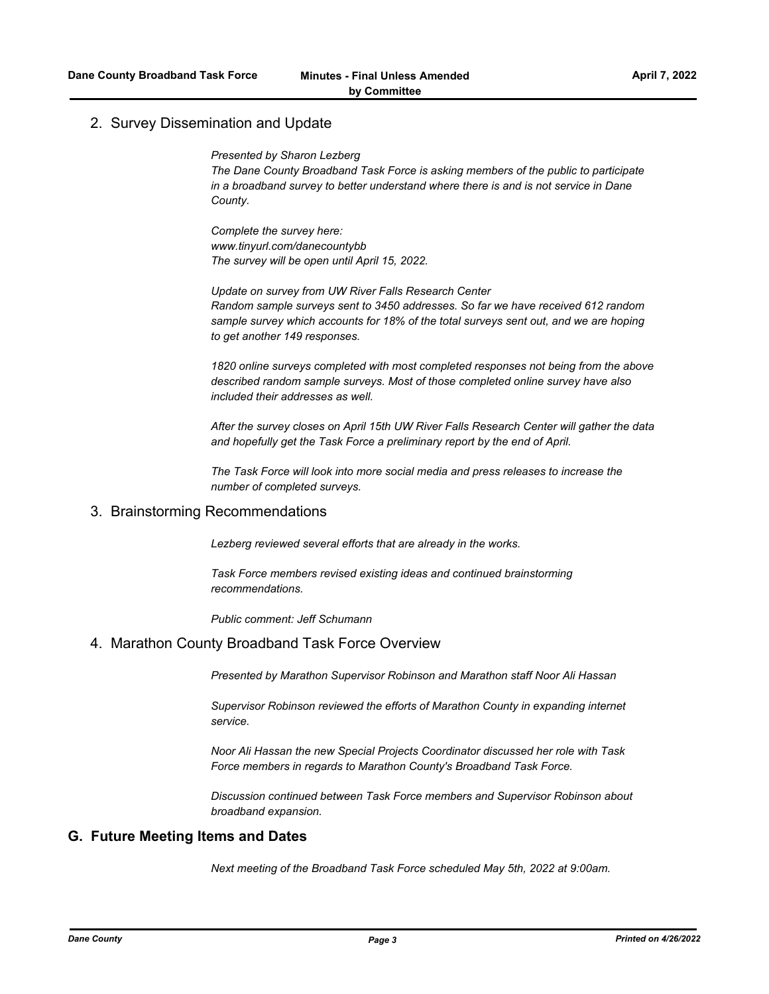#### 2. Survey Dissemination and Update

*Presented by Sharon Lezberg*

*The Dane County Broadband Task Force is asking members of the public to participate in a broadband survey to better understand where there is and is not service in Dane County.*

*Complete the survey here: www.tinyurl.com/danecountybb The survey will be open until April 15, 2022.*

*Update on survey from UW River Falls Research Center Random sample surveys sent to 3450 addresses. So far we have received 612 random sample survey which accounts for 18% of the total surveys sent out, and we are hoping to get another 149 responses.*

*1820 online surveys completed with most completed responses not being from the above described random sample surveys. Most of those completed online survey have also included their addresses as well.*

*After the survey closes on April 15th UW River Falls Research Center will gather the data and hopefully get the Task Force a preliminary report by the end of April.*

*The Task Force will look into more social media and press releases to increase the number of completed surveys.*

#### 3. Brainstorming Recommendations

*Lezberg reviewed several efforts that are already in the works.*

*Task Force members revised existing ideas and continued brainstorming recommendations.*

*Public comment: Jeff Schumann*

#### 4. Marathon County Broadband Task Force Overview

*Presented by Marathon Supervisor Robinson and Marathon staff Noor Ali Hassan*

*Supervisor Robinson reviewed the efforts of Marathon County in expanding internet service.*

*Noor Ali Hassan the new Special Projects Coordinator discussed her role with Task Force members in regards to Marathon County's Broadband Task Force.*

*Discussion continued between Task Force members and Supervisor Robinson about broadband expansion.*

### **G. Future Meeting Items and Dates**

*Next meeting of the Broadband Task Force scheduled May 5th, 2022 at 9:00am.*